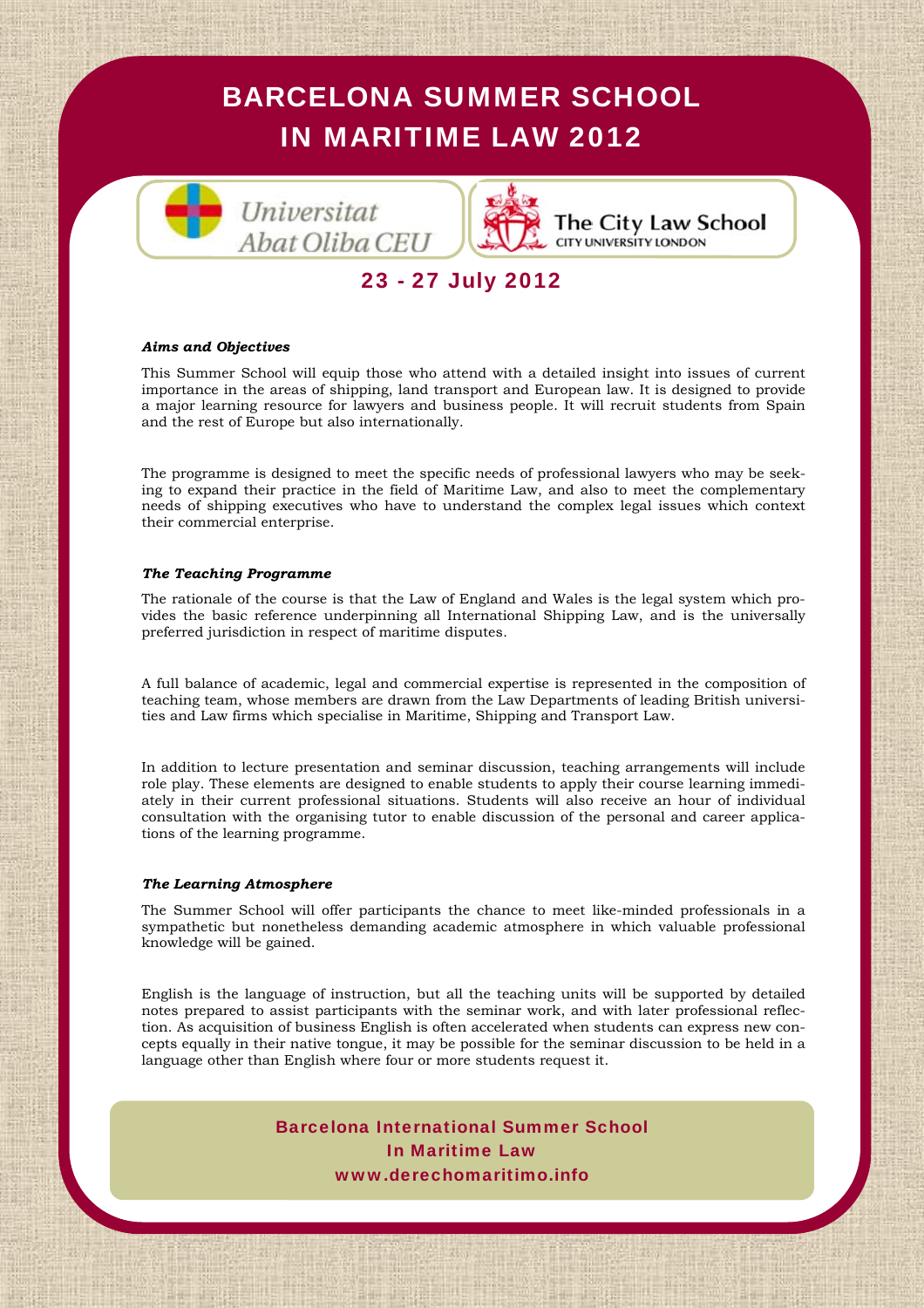



The City Law School **CITY UNIVERSITY LONDON** 

# 23 - 27 July 2012

#### *Aims and Objectives*

This Summer School will equip those who attend with a detailed insight into issues of current importance in the areas of shipping, land transport and European law. It is designed to provide a major learning resource for lawyers and business people. It will recruit students from Spain and the rest of Europe but also internationally.

The programme is designed to meet the specific needs of professional lawyers who may be seeking to expand their practice in the field of Maritime Law, and also to meet the complementary needs of shipping executives who have to understand the complex legal issues which context their commercial enterprise.

#### *The Teaching Programme*

The rationale of the course is that the Law of England and Wales is the legal system which provides the basic reference underpinning all International Shipping Law, and is the universally preferred jurisdiction in respect of maritime disputes.

A full balance of academic, legal and commercial expertise is represented in the composition of teaching team, whose members are drawn from the Law Departments of leading British universities and Law firms which specialise in Maritime, Shipping and Transport Law.

*Microsy III* and Carrollic protectional distancements with the organising tutor to enable discussion of the personal and career applications of the learning programme. In addition to lecture presentation and seminar discussion, teaching arrangements will include role play. These elements are designed to enable students to apply their course learning immediately in their current professional situations. Students will also receive an hour of individual tions of the learning programme.

#### *The Learning Atmosphere*

*Lawyers in Spain*" que *The Cor-*The Summer School will offer participants the chance to meet like-minded professionals in a *porate International* publica sympathetic but nonetheless demanding academic atmosphere in which valuable professional cada año reconociendo a los 50 knowledge will be gained.

English is the language of instruction, but all the teaching units will be supported by detailed notes prepared to assist participants with the seminar work, and with later professional reflection. As acquisition of business English is often accelerated when students can express new concepts equally in their native tongue, it may be possible for the seminar discussion to be held in a language other than English where four or more students request it.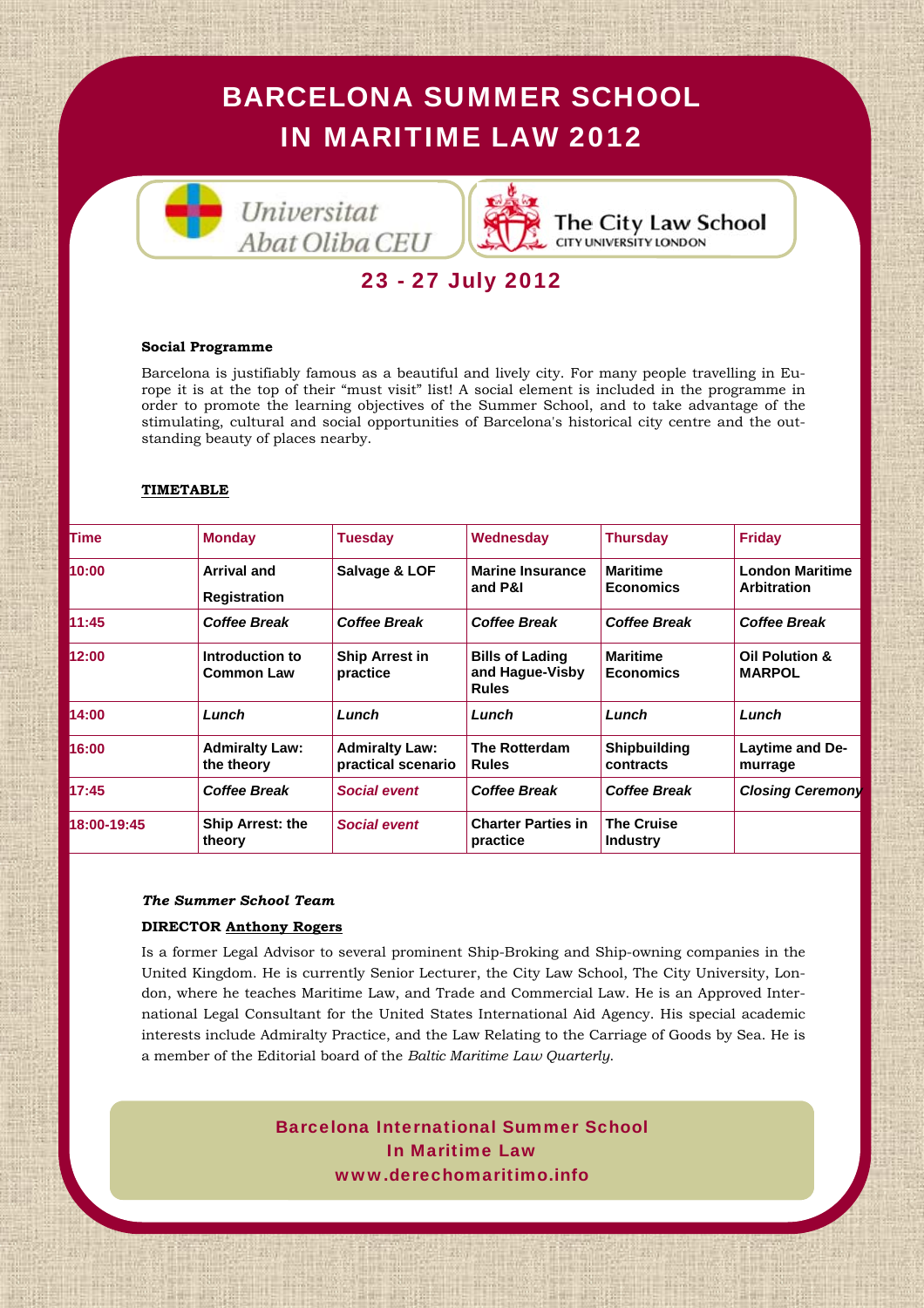Universitat Abat Oliba CEU



The City Law School **CITY UNIVERSITY LONDON** 

# 23 - 27 July 2012

### **Social Programme**

Barcelona is justifiably famous as a beautiful and lively city. For many people travelling in Europe it is at the top of their "must visit" list! A social element is included in the programme in order to promote the learning objectives of the Summer School, and to take advantage of the stimulating, cultural and social opportunities of Barcelona's historical city centre and the outstanding beauty of places nearby.

## **TIMETABLE**

| lTime       | <b>Monday</b>                        | <b>Tuesday</b>                              | Wednesday                                                 | <b>Thursday</b>                      | <b>Friday</b>                                |
|-------------|--------------------------------------|---------------------------------------------|-----------------------------------------------------------|--------------------------------------|----------------------------------------------|
| 10:00       | Arrival and<br><b>Registration</b>   | Salvage & LOF                               | <b>Marine Insurance</b><br>and P&I                        | <b>Maritime</b><br><b>Economics</b>  | <b>London Maritime</b><br><b>Arbitration</b> |
| 11:45       | <b>Coffee Break</b>                  | <b>Coffee Break</b>                         | <b>Coffee Break</b>                                       | <b>Coffee Break</b>                  | Coffee Break                                 |
| 12:00       | Introduction to<br><b>Common Law</b> | <b>Ship Arrest in</b><br>practice           | <b>Bills of Lading</b><br>and Hague-Visby<br><b>Rules</b> | <b>Maritime</b><br><b>Economics</b>  | <b>Oil Polution &amp;</b><br><b>MARPOL</b>   |
| 14:00       | Lunch                                | Lunch                                       | Lunch                                                     | Lunch                                | Lunch                                        |
| 16:00       | <b>Admiralty Law:</b><br>the theory  | <b>Admiralty Law:</b><br>practical scenario | <b>The Rotterdam</b><br><b>Rules</b>                      | <b>Shipbuilding</b><br>contracts     | Laytime and De-<br>murrage                   |
| 17:45       | <b>Coffee Break</b>                  | <b>Social event</b>                         | <b>Coffee Break</b>                                       | <b>Coffee Break</b>                  | <b>Closing Ceremony</b>                      |
| 18:00-19:45 | Ship Arrest: the<br>theory           | <b>Social event</b>                         | <b>Charter Parties in</b><br>practice                     | <b>The Cruise</b><br><b>Industry</b> |                                              |
|             |                                      |                                             |                                                           |                                      |                                              |

## *The Summer School Team*

## **DIRECTOR Anthony Rogers**

cada año reconociendo a los 50 Is a former Legal Advisor to several prominent Ship-Broking and Ship-owning companies in the don, where he teaches Maritime Law, and Trade and Commercial Law. He is an Approved International Legal Consultant for the United States International Aid Agency. His special academic interests include Admiralty Practice, and the Law Relating to the Carriage of Goods by Sea. He is a member of the Editorial board of the *Baltic Maritime Law Quarterly*. United Kingdom. He is currently Senior Lecturer, the City Law School, The City University, Lon-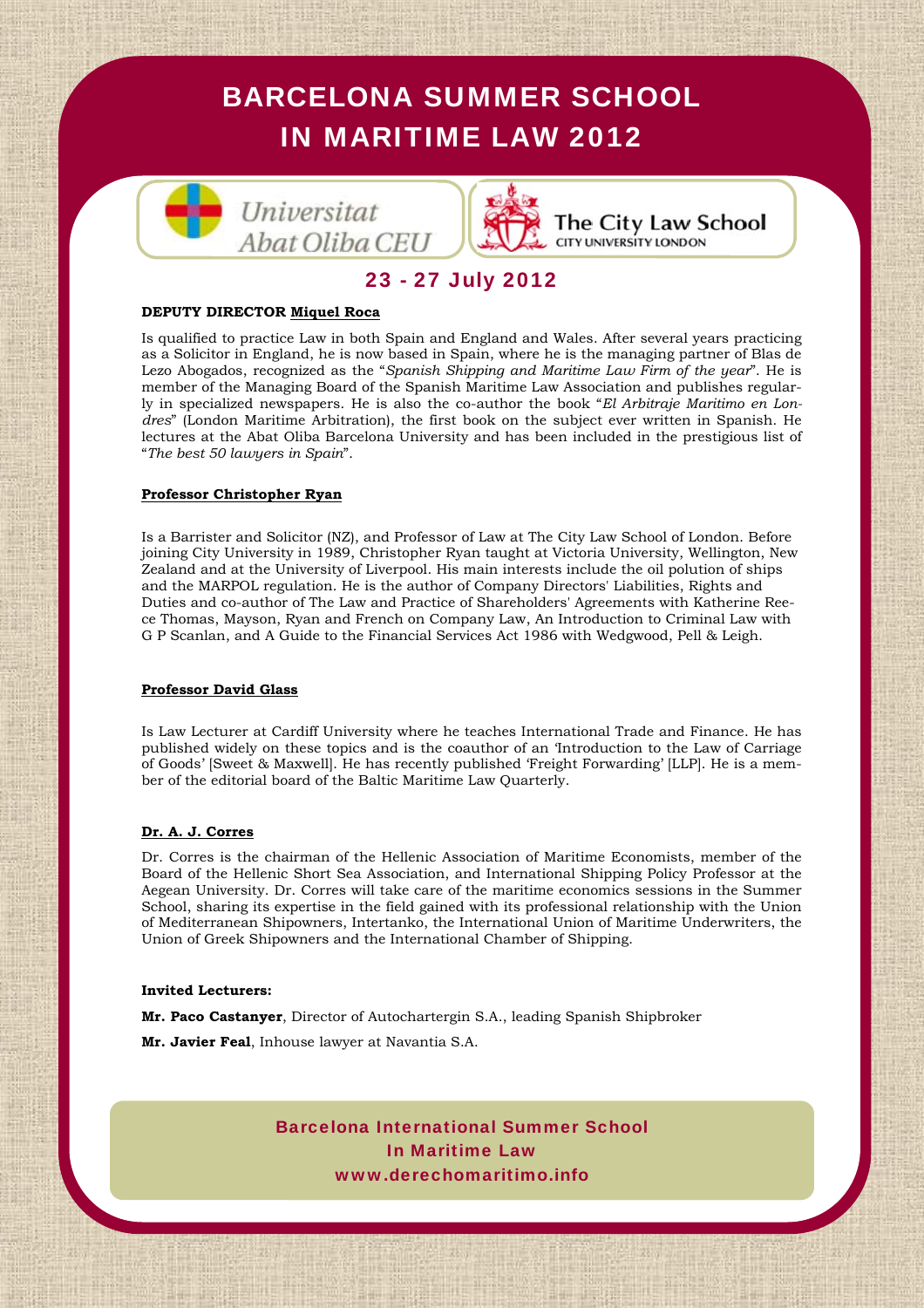



The City Law School **CITY UNIVERSITY LONDON** 

## 23 - 27 July 2012

#### **DEPUTY DIRECTOR Miquel Roca**

Is qualified to practice Law in both Spain and England and Wales. After several years practicing as a Solicitor in England, he is now based in Spain, where he is the managing partner of Blas de Lezo Abogados, recognized as the "*Spanish Shipping and Maritime Law Firm of the year*". He is member of the Managing Board of the Spanish Maritime Law Association and publishes regularly in specialized newspapers. He is also the co-author the book "*El Arbitraje Maritimo en Londres*" (London Maritime Arbitration), the first book on the subject ever written in Spanish. He lectures at the Abat Oliba Barcelona University and has been included in the prestigious list of "*The best 50 lawyers in Spain*".

#### **Professor Christopher Ryan**

Is a Barrister and Solicitor (NZ), and Professor of Law at The City Law School of London. Before joining City University in 1989, Christopher Ryan taught at Victoria University, Wellington, New Zealand and at the University of Liverpool. His main interests include the oil polution of ships and the MARPOL regulation. He is the author of Company Directors' Liabilities, Rights and Duties and co-author of The Law and Practice of Shareholders' Agreements with Katherine Reece Thomas, Mayson, Ryan and French on Company Law, An Introduction to Criminal Law with G P Scanlan, and A Guide to the Financial Services Act 1986 with Wedgwood, Pell & Leigh.

#### **Professor David Glass**

Is Law Lecturer at Cardiff University where he teaches International Trade and Finance. He has published widely on these topics and is the coauthor of an 'Introduction to the Law of Carriage of Goods' [Sweet & Maxwell]. He has recently published 'Freight Forwarding' [LLP]. He is a member of the editorial board of the Baltic Maritime Law Quarterly.

### **Dr. A. J. Corres**

<mark>Dr. A. J. Corres</mark><br>Dr. Corres is the chairman of the Hellenic Association of Maritime Economists, member of the<br>Board of the Hellenic Short Sea Association, and International Shipping Policy Professor at the Board of the Hellenic Short Sea Association, and International Shipping Policy Professor at the *Lawyers in Spain*" que *The Cor-*School, sharing its expertise in the field gained with its professional relationship with the Union of Mediterranean Shipowners, Intertanko, the International Union of Maritime Underwriters, the Union of Greek Shipowners and the International Chamber of Shipping. Aegean University. Dr. Corres will take care of the maritime economics sessions in the Summer

#### **Invited Lecturers:**

Mr. Paco Castanyer, Director of Autochartergin S.A., leading Spanish Shipbroker especialidad de Derecho Maríti-

**Mr. Javier Feal**, Inhouse lawyer at Navantia S.A.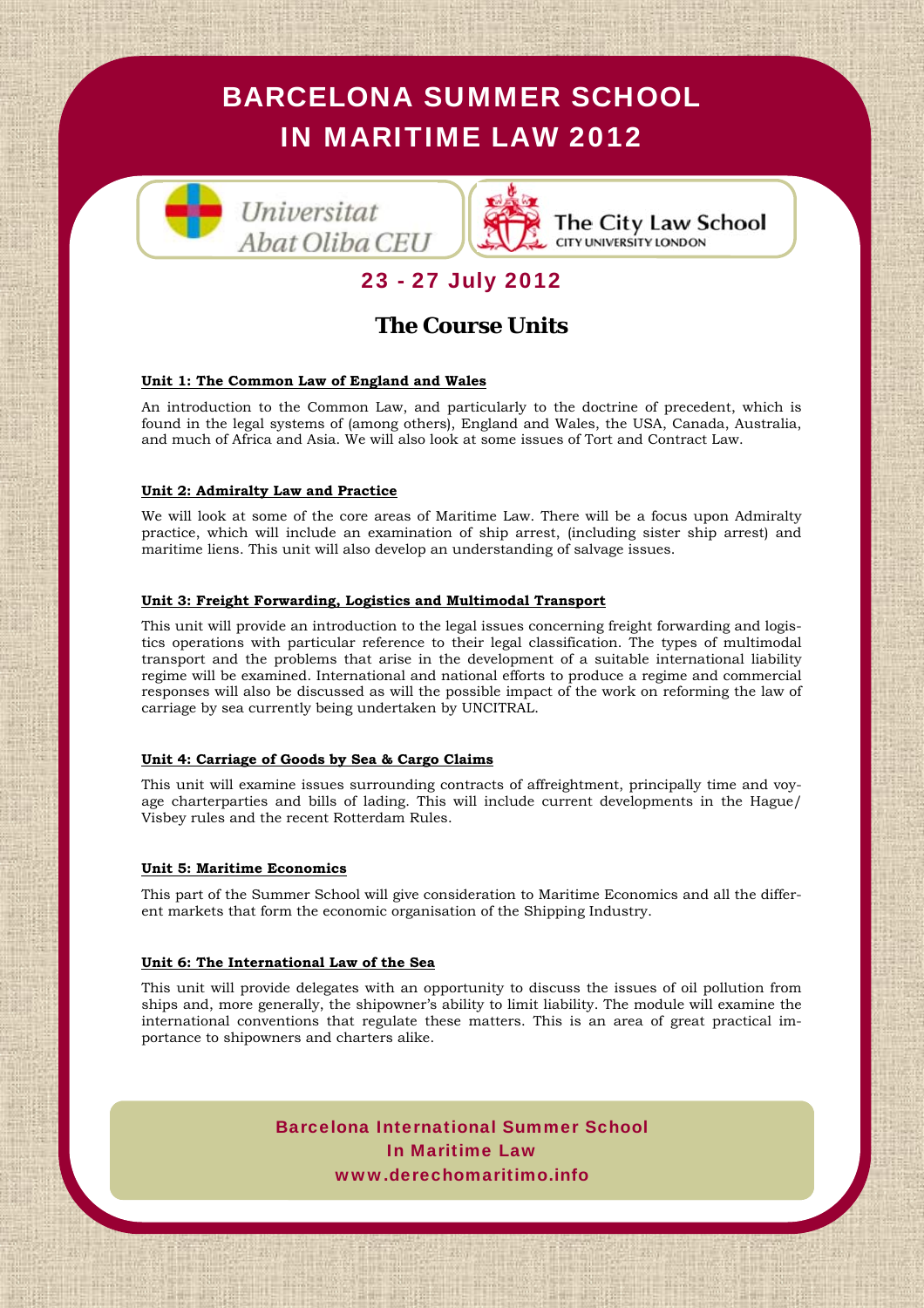

The City Law School **CITY UNIVERSITY LONDON** 

# 23 - 27 July 2012

# **The Course Units**

## **Unit 1: The Common Law of England and Wales**

An introduction to the Common Law, and particularly to the doctrine of precedent, which is found in the legal systems of (among others), England and Wales, the USA, Canada, Australia, and much of Africa and Asia. We will also look at some issues of Tort and Contract Law.

## **Unit 2: Admiralty Law and Practice**

We will look at some of the core areas of Maritime Law. There will be a focus upon Admiralty practice, which will include an examination of ship arrest, (including sister ship arrest) and maritime liens. This unit will also develop an understanding of salvage issues.

### **Unit 3: Freight Forwarding, Logistics and Multimodal Transport**

This unit will provide an introduction to the legal issues concerning freight forwarding and logistics operations with particular reference to their legal classification. The types of multimodal transport and the problems that arise in the development of a suitable international liability regime will be examined. International and national efforts to produce a regime and commercial responses will also be discussed as will the possible impact of the work on reforming the law of carriage by sea currently being undertaken by UNCITRAL.

### **Unit 4: Carriage of Goods by Sea & Cargo Claims**

*M*<sup>*M*</sup> *M*<sup>*M*</sup> *M*<sup>*M*</sup> *M*<sup>*M*</sup> *M*<sup>*M*</sup> *M*<sup>*M*</sup> *M*<sup>*M*</sup> *M*<sup>*M*</sup> *M*<sup>*M*</sup> *M*<sup>*M*</sup> *M*<sup>*M*</sup> *M*<sup>*M*</sup> *M*<sup>*M*</sup> *M*<sup>*M*</sup> *M*<sup>*M*</sup> *M*<sup>*M*</sup> *M*<sup>*M*</sup> *M*<sup>*M*</sup> *M*<sup>*M*</sup> *M*<sup>*M*</sup> *M*<sup>*M*</sup> *M*<sup>*M*</sup> *M*<sup>*M*</sup> *M*<sup>*M*</sup> *M*<sup>*M</sup>* This unit will examine issues surrounding contracts of affreightment, principally time and voyage charterparties and bills of lading. This will include current developments in the Hague/ Visbey rules and the recent Rotterdam Rules.

### **Unit 5: Maritime Economics**

This part of the Summer School will give consideration to Maritime Economics and all the differ*porate International* publica ent markets that form the economic organisation of the Shipping Industry.

### **Unit 6: The International Law of the Sea**

This unit will provide delegates with an opportunity to discuss the issues of oil pollution from ships and, more generally, the shipowner's ability to limit liability. The module will examine the international conventions that regulate these matters. This is an area of great practical im-<br>portance to shipowners and charters alike portance to shipowners and charters alike.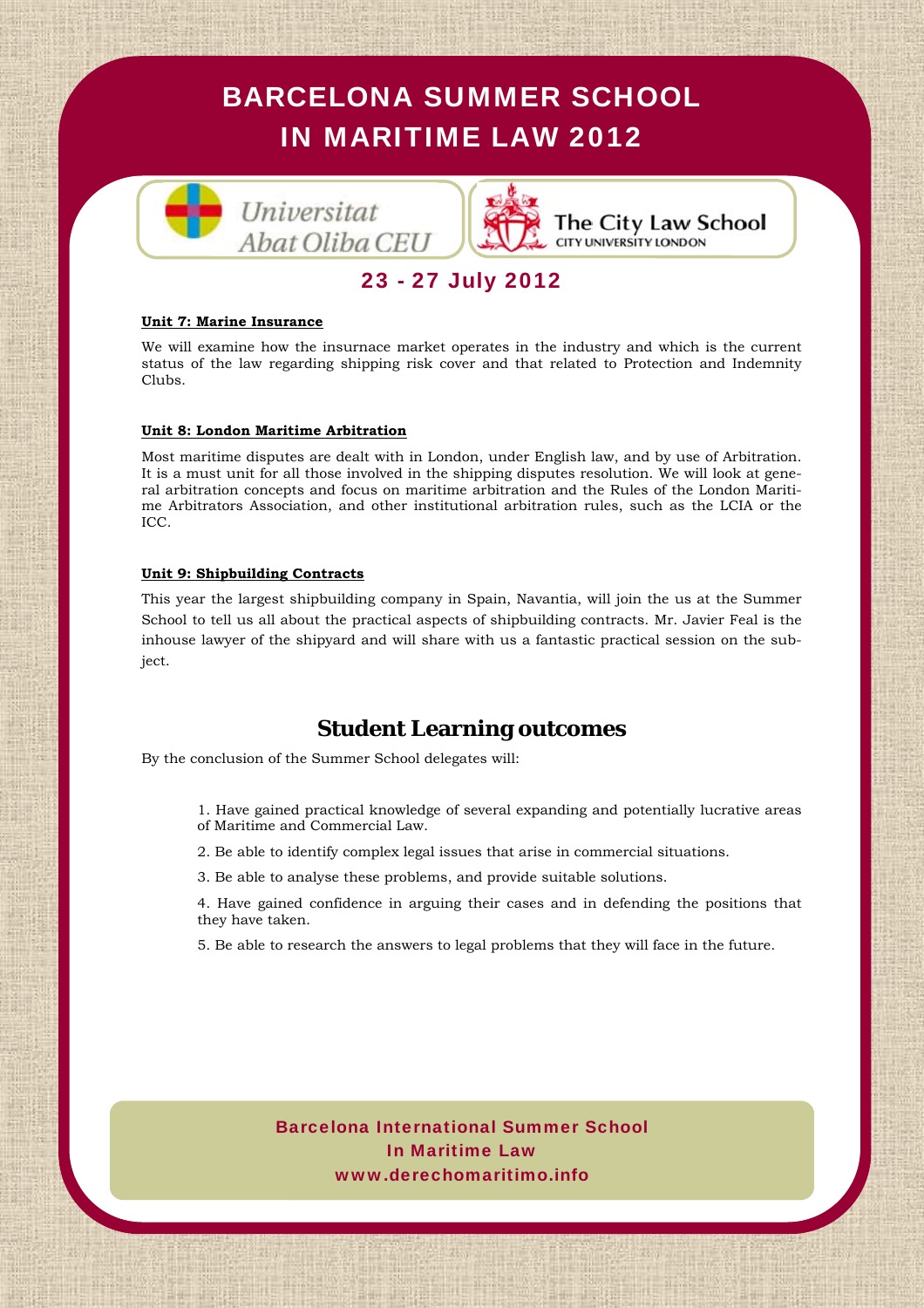

# 23 - 27 July 2012

#### **Unit 7: Marine Insurance**

We will examine how the insurnace market operates in the industry and which is the current status of the law regarding shipping risk cover and that related to Protection and Indemnity Clubs.

#### **Unit 8: London Maritime Arbitration**

Most maritime disputes are dealt with in London, under English law, and by use of Arbitration. It is a must unit for all those involved in the shipping disputes resolution. We will look at general arbitration concepts and focus on maritime arbitration and the Rules of the London Maritime Arbitrators Association, and other institutional arbitration rules, such as the LCIA or the ICC.

#### **Unit 9: Shipbuilding Contracts**

This year the largest shipbuilding company in Spain, Navantia, will join the us at the Summer School to tell us all about the practical aspects of shipbuilding contracts. Mr. Javier Feal is the inhouse lawyer of the shipyard and will share with us a fantastic practical session on the subject.

## **Student Learning outcomes**

By the conclusion of the Summer School delegates will:

- *A* and potentially lucrative are<br>
demonstrations.<br> **Maturity** 1. Have gained practical knowledge of several expanding and potentially lucrative areas of Maritime and Commercial Law.
- Socio Director, ha 2. Be able to identify complex legal issues that arise in commercial situations.
- 3. Be able to analyse these problems, and provide suitable solutions.

*Lawyers in Spain*" que *The Cor-*4. Have gained confidence in arguing their cases and in defending the positions that they have taken.

5. Be able to research the answers to legal problems that they will face in the future.